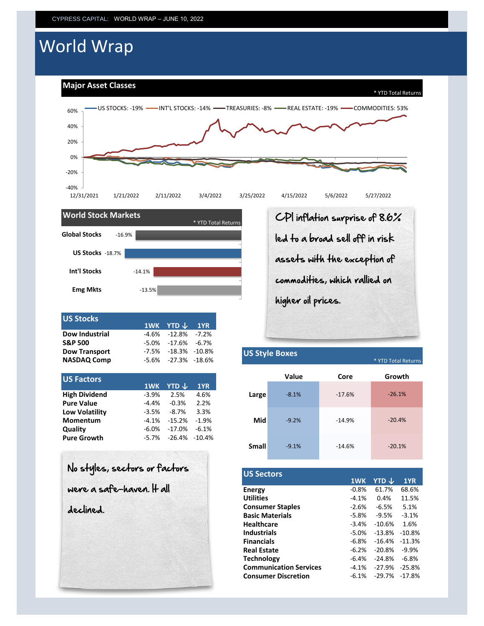# World Wrap

**Major Asset Classes**





|  | 1WK YTD $\downarrow$ 1YR<br>$-4.6\%$ $-12.8\%$ $-7.2\%$<br>$-5.0\% -17.6\% -6.7\%$<br>$-7.5\% -18.3\% -10.8\%$<br>$-5.6\% -27.3\% -18.6\%$ |
|--|--------------------------------------------------------------------------------------------------------------------------------------------|

| <b>US Factors</b>     | 1WK     | <b>YTD</b> $\downarrow$ | 1YR     |
|-----------------------|---------|-------------------------|---------|
| <b>High Dividend</b>  | $-3.9%$ | 2.5%                    | 4.6%    |
| <b>Pure Value</b>     | $-4.4%$ | $-0.3%$                 | 2.2%    |
| <b>Low Volatility</b> | $-3.5%$ | $-8.7%$                 | 3.3%    |
| <b>Momentum</b>       | $-4.1%$ | $-15.2%$                | $-1.9%$ |
| Quality               | $-6.0%$ | $-17.0%$                | $-6.1%$ |
| <b>Pure Growth</b>    | $-5.7%$ | $-26.4\% -10.4\%$       |         |
|                       |         |                         |         |

| <b>US Factors</b>    |         |          |                   |
|----------------------|---------|----------|-------------------|
|                      | 1WK     | YTD J    | 1YR               |
| <b>High Dividend</b> | $-3.9%$ | 2.5%     | 4.6%              |
| <b>Pure Value</b>    | $-4.4%$ | $-0.3%$  | 2.2%              |
| Low Volatility       | $-3.5%$ | $-8.7%$  | 3.3%              |
| Momentum             | $-4.1%$ | $-15.2%$ | $-1.9%$           |
| Qualitv              | $-6.0%$ | $-17.0%$ | $-6.1%$           |
| Pure Growth          | $-5.7%$ |          | $-26.4\% -10.4\%$ |
|                      |         |          |                   |
|                      |         |          |                   |

| No styles, sectors or factors |
|-------------------------------|
| were a safe-haven. It all     |
| declined.                     |
|                               |
|                               |
|                               |

CPI inflation surprise of 8.6% led to a broad sell off in risk assets with the exception of commodities, which rallied on higher oil prices.

#### \* YTD Total Returns **Small Core** -14.6% -20.1% -26.1% **Growth** -9.2% -14.9% -20.4% -9.1% -8.1% -17.6% **Value**

**US Style Boxes**

| <b>US Sectors</b>             |         |          |          |
|-------------------------------|---------|----------|----------|
|                               | 1WK     | YTD J    | 1YR      |
| Energy                        | $-0.8%$ | 61.7%    | 68.6%    |
| <b>Utilities</b>              | $-4.1%$ | 0.4%     | 11.5%    |
| <b>Consumer Staples</b>       | $-2.6%$ | $-6.5%$  | 5.1%     |
| <b>Basic Materials</b>        | $-5.8%$ | $-9.5%$  | $-3.1%$  |
| <b>Healthcare</b>             | $-3.4%$ | $-10.6%$ | 1.6%     |
| <b>Industrials</b>            | $-5.0%$ | $-13.8%$ | $-10.8%$ |
| <b>Financials</b>             | $-6.8%$ | $-16.4%$ | $-11.3%$ |
| <b>Real Estate</b>            | $-6.2%$ | $-20.8%$ | $-9.9%$  |
| <b>Technology</b>             | $-6.4%$ | $-24.8%$ | $-6.8%$  |
| <b>Communication Services</b> | $-4.1%$ | $-27.9%$ | $-25.8%$ |
| <b>Consumer Discretion</b>    | $-6.1%$ | $-29.7%$ | $-17.8%$ |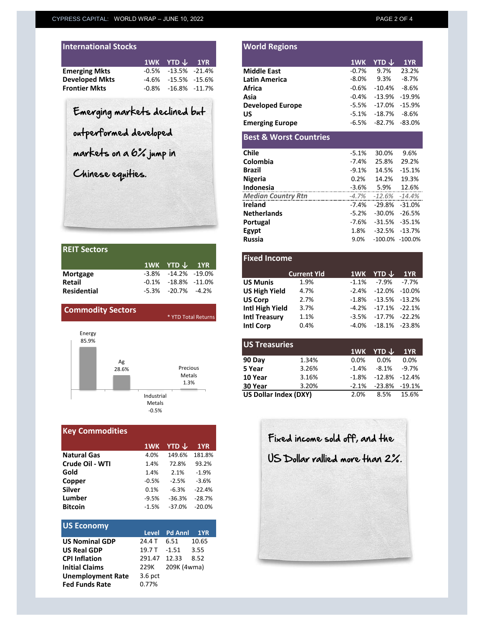| <b>International Stocks</b> |                              |  |
|-----------------------------|------------------------------|--|
|                             | $1$ WK YTD $\downarrow$ 1YR  |  |
| <b>Emerging Mkts</b>        | $-0.5\%$ $-13.5\%$ $-21.4\%$ |  |
| <b>Developed Mkts</b>       | $-4.6\%$ $-15.5\%$ $-15.6\%$ |  |
| <b>Frontier Mkts</b>        | $-0.8\%$ $-16.8\%$ $-11.7\%$ |  |

| <b>REIT Sectors</b> |                             |  |
|---------------------|-----------------------------|--|
|                     | 1WK YTD $\downarrow$ 1YR    |  |
| <b>Mortgage</b>     | $-3.8\% -14.2\% -19.0\%$    |  |
| <b>Retail</b>       | $-0.1\% -18.8\% -11.0\%$    |  |
| <b>Residential</b>  | $-5.3\%$ $-20.7\%$ $-4.2\%$ |  |

| <b>Commodity Sectors</b>       | * YTD Total Returns                    |
|--------------------------------|----------------------------------------|
| Energy<br>85.9%<br>Ag<br>28.6% | Precious<br>Metals<br>1.3%             |
|                                | Industrial<br><b>Metals</b><br>$-0.5%$ |

| <b>Key Commodities</b> |         |          |          |
|------------------------|---------|----------|----------|
|                        | 1WK     | YTD J    | 1YR      |
| <b>Natural Gas</b>     | 4.0%    | 149.6%   | 181.8%   |
| Crude Oil - WTI        | 1.4%    | 72.8%    | 93.2%    |
| Gold                   | 1.4%    | 2.1%     | $-1.9%$  |
| Copper                 | $-0.5%$ | $-2.5%$  | $-3.6%$  |
| Silver                 | 0.1%    | $-6.3%$  | $-22.4%$ |
| Lumber                 | $-9.5%$ | $-36.3%$ | $-28.7%$ |
| <b>Bitcoin</b>         | $-1.5%$ | $-37.0%$ | $-20.0%$ |
|                        |         |          |          |

| <b>US Economy</b>        |              |               |       |
|--------------------------|--------------|---------------|-------|
|                          |              | Level Pd Annl | 1YR   |
| <b>US Nominal GDP</b>    | 24.4 T       | 6.51          | 10.65 |
| <b>US Real GDP</b>       | 19.7 T       | $-1.51$       | 3.55  |
| <b>CPI Inflation</b>     | 291.47 12.33 |               | 8.52  |
| <b>Initial Claims</b>    | 229K         | 209K (4wma)   |       |
| <b>Unemployment Rate</b> | $3.6$ pct    |               |       |
| <b>Fed Funds Rate</b>    | 0.77%        |               |       |

|                               | 1WK     | YTD $\downarrow$  | 1YR I             |
|-------------------------------|---------|-------------------|-------------------|
| <b>Emerging Mkts</b>          | $-0.5%$ |                   | $-13.5\% -21.4\%$ |
| <b>Developed Mkts</b>         | -4.6%   |                   | $-15.5\% -15.6\%$ |
| <b>Frontier Mkts</b>          | $-0.8%$ | $-16.8\% -11.7\%$ |                   |
|                               |         |                   |                   |
|                               |         |                   |                   |
| Emerging markets declined but |         |                   |                   |
|                               |         |                   |                   |
| outperformed developed        |         |                   |                   |
| markets on a 6% jump in       |         |                   |                   |
|                               |         |                   |                   |
| Chinese equities.             |         |                   |                   |
|                               |         |                   |                   |
|                               |         |                   |                   |
|                               |         |                   |                   |

**World Regions**

| <b>Median Country Rtn</b> | $-4.7\%$ $-12.6\%$ $-14.4\%$ |  |
|---------------------------|------------------------------|--|
| Ireland                   | $-7.4\%$ $-29.8\%$ $-31.0\%$ |  |
| <b>Netherlands</b>        | -5.2% -30.0% -26.5%          |  |
| Portugal                  | $-7.6\% -31.5\% -35.1\%$     |  |
| Egypt                     | 1.8% -32.5% -13.7%           |  |
| Russia                    | 9.0% -100.0% -100.0%         |  |
|                           |                              |  |

|                          |          | 1WK YTD $\downarrow$ | 1YR                 |
|--------------------------|----------|----------------------|---------------------|
| Mortgage                 | -3.8%    | $-14.2\% -19.0\%$    |                     |
| <b>Retail</b>            | $-0.1\%$ | -18.8%               | -11.0%              |
| <b>Residential</b>       | -5.3%    | $-20.7\%$            | $-4.2%$             |
|                          |          |                      |                     |
| <b>Commodity Sectors</b> |          |                      |                     |
|                          |          |                      | * YTD Total Returns |
|                          |          |                      |                     |

| <b>US Treasuries</b>  |       |         |                     |          |
|-----------------------|-------|---------|---------------------|----------|
|                       |       |         | 1WK YTD ↓           | 1YR      |
| 90 Day                | 1.34% | 0.0%    | 0.0%                | 0.0%     |
| 5 Year                | 3.26% | $-1.4%$ | $-8.1%$             | $-9.7\%$ |
| 10 Year               | 3.16% | $-1.8%$ | $-12.8\%$ $-12.4\%$ |          |
| 30 Year               | 3.20% | $-2.1%$ | -23.8% -19.1%       |          |
| US Dollar Index (DXY) | 2.0%  | 8.5%    | 15.6%               |          |
|                       |       |         |                     |          |

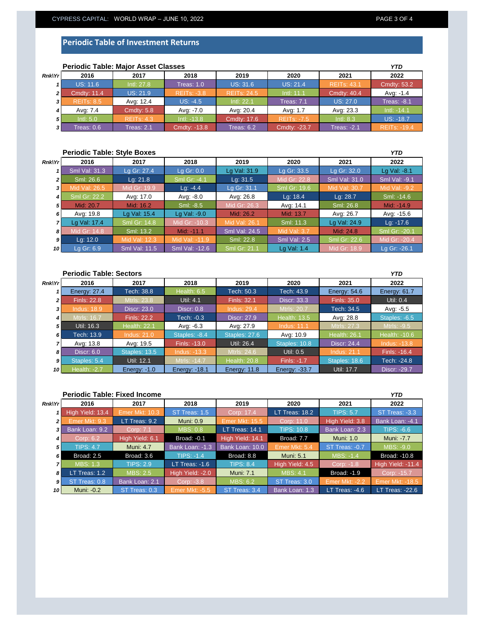|               | <b>Periodic Table: Major Asset Classes</b> |                   |                    |                    |                    |                    |                     |  |
|---------------|--------------------------------------------|-------------------|--------------------|--------------------|--------------------|--------------------|---------------------|--|
| <b>Rnk\Yr</b> | 2016                                       | 2017              | 2018               | 2019               | 2020               | 2021               | 2022                |  |
|               | <b>US: 11.6</b>                            | Intl: 27.8        | Treas: 1.0         | <b>US: 31.6</b>    | <b>US: 21.4</b>    | <b>REITs: 43.1</b> | Cmdty: 53.2         |  |
| 2             | <b>Cmdty: 11.4</b>                         | US: 21.9          | <b>REITS: -3.8</b> | <b>REITs: 24.5</b> | Intl: 11.1         | <b>Cmdty: 40.4</b> | Avg: -1.4           |  |
|               | <b>REITS: 8.5</b>                          | Avg: 12.4         | $US: -4.5$         | Intl: 22.1         | <b>Treas: 7.1</b>  | <b>US: 27.0</b>    | <b>Treas: -8.1</b>  |  |
|               | Avg: 7.4                                   | <b>Cmdty: 5.8</b> | Avg: -7.0          | Avg: 20.4          | Avg: 1.7           | Avg: 23.3          | $Intl: -14.1$       |  |
| 5             | Intl: $5.0$                                | <b>REITS: 4.3</b> | $Intl: -13.8$      | Cmdty: 17.6        | <b>REITS: -7.5</b> | Intl: 8.3          | $US: -18.7$         |  |
| 3             | Treas: 0.6                                 | Treas: 2.1        | Cmdty: -13.8       | Treas: $6.2$       | Cmdty: -23.7       | Treas: $-2.1$      | <b>REITS: -19.4</b> |  |

### **Periodic Table: Major Asset Classes**

## **Periodic Table: Style Boxes**

| <b>Rnk\Yr</b>  | 2016                | 2017                 | 2018           | 2019                 | 2020                | 2021                 | 2022          |
|----------------|---------------------|----------------------|----------------|----------------------|---------------------|----------------------|---------------|
|                | Sml Val: 31.3       | Lg Gr: 27.4          | Lg Gr: 0.0     | Lg Val: 31.9         | Lg Gr: 33.5         | Lg Gr: 32.0          | Lg Val: -8.1  |
| $\overline{2}$ | Sml: 26.6           | Lq: 21.8             | Sml Gr: -4.1   | Lq: 31.5             | Mid Gr: 22.8        | <b>Sml Val: 31.0</b> | Sml Val: -9.1 |
| 31             | Mid Val: 26.5       | Mid Gr: 19.9         | $Lq: -4.4$     | Lg Gr: 31.1          | Sml Gr: 19.6        | Mid Val: 30.7        | Mid Val: -9.2 |
| $\overline{4}$ | <b>Sml Gr: 22.2</b> | Avg: 17.0            | Avg: -8.0      | Avg: 26.8            | Lg: $18.4$          | Lg: 28.7             | Sml: -14.6    |
| 5 <sub>1</sub> | Mid: 20.7           | Mid: 16.2            | Sml: -8.5      | Mid Gr: 26.3         | Avg: 14.1           | Sml: 26.8            | Mid: -14.9    |
| 6              | Avg: 19.8           | Lg Val: 15.4         | Lg Val: -9.0   | Mid: 26.2            | Mid: 13.7           | Avg: 26.7            | Avg: -15.6    |
|                | Lg Val: 17.4        | <b>Sml Gr: 14.8</b>  | Mid Gr: -10.3  | Mid Val: 26.1        | Sml: 11.3           | Lg Val: 24.9         | $Lq: -17.6$   |
| 8              | Mid Gr: 14.8        | Sml: 13.2            | Mid: -11.1     | <b>Sml Val: 24.5</b> | <b>Mid Val: 3.7</b> | Mid: 24.8            | Sml Gr: -20.1 |
| 9              | Lg: 12.0            | Mid Val: 12.3        | Mid Val: -11.9 | Sml: 22.8            | <b>Sml Val: 2.5</b> | Sml Gr: 22.6         | Mid Gr: -20.4 |
| 10 I           | Lg Gr: 6.9          | <b>Sml Val: 11.5</b> | Sml Val: -12.6 | Sml Gr: 21.1         | Lg Val: 1.4         | Mid Gr: 18.9         | Lg Gr: -26.1  |

| <b>Periodic Table: Sectors</b><br><b>YTD</b> |                     |                     |                      |                     |                     |                     |                     |  |
|----------------------------------------------|---------------------|---------------------|----------------------|---------------------|---------------------|---------------------|---------------------|--|
| Rnk Yr                                       | 2016                | 2017                | 2018                 | 2019                | 2020                | 2021                | 2022                |  |
|                                              | Energy: 27.4        | Tech: 38.8          | Health: 6.5          | Tech: 50.3          | Tech: 43.9          | Energy: $54.6$      | <b>Energy: 61.7</b> |  |
| $\overline{2}$                               | <b>Finls: 22.8</b>  | Mtrls: 23.8         | <b>Util: 4.1</b>     | Finls: 32.1         | <b>Discr: 33.3</b>  | Finls: 35.0         | Util: 0.4           |  |
| 3                                            | <b>Indus: 18.9</b>  | <b>Discr: 23.0</b>  | Discr: 0.8           | <b>Indus: 29.4</b>  | <b>Mtrls: 20.7</b>  | Tech: 34.5          | Avg: -5.5           |  |
| $\overline{4}$                               | <b>Mtrls: 16.7</b>  | <b>Finls: 22.2</b>  | Tech: -0.3           | Discr: 27.9         | <b>Health: 13.5</b> | Avg: 28.8           | Staples: -6.5       |  |
| 5                                            | Util: 16.3          | <b>Health: 22.1</b> | Avg: -6.3            | Avg: 27.9           | <b>Indus: 11.1</b>  | Mtrls: 27.3         | Mtrls: -9.5         |  |
| 6                                            | Tech: 13.9          | <b>Indus: 21.0</b>  | Staples: -8.4        | Staples: 27.6       | Avg: 10.9           | <b>Health: 26.1</b> | Health: -10.6       |  |
|                                              | Avg: 13.8           | Avg: 19.5           | Finls: -13.0         | Util: 26.4          | Staples: 10.8       | Discr: 24.4         | <b>Indus: -13.8</b> |  |
| 8                                            | <b>Discr: 6.0</b>   | Staples: 13.5       | Indus: -13.3         | Mtrls: 24.6         | Util: 0.5           | <b>Indus: 21.1</b>  | Finls: -16.4        |  |
| $\mathbf{9}$                                 | Staples: 5.4        | Util: 12.1          | Mtrls: -14.7         | <b>Health: 20.8</b> | Finls: -1.7         | Staples: 18.6       | Tech: -24.8         |  |
| 10 I                                         | <b>Health: -2.7</b> | Energy: $-1.0$      | <b>Energy: -18.1</b> | Energy: 11.8        | Energy: -33.7       | Util: 17.7          | Discr: -29.7        |  |

|                | <b>Periodic Table: Fixed Income</b><br><b>YTD</b> |                  |                       |                  |                   |                                  |                        |  |  |
|----------------|---------------------------------------------------|------------------|-----------------------|------------------|-------------------|----------------------------------|------------------------|--|--|
| <b>Rnk\Yr</b>  | 2016                                              | 2017             | 2018                  | 2019             | 2020              | 2021                             | 2022                   |  |  |
|                | High Yield: 13.4                                  | Emer Mkt: 10.3   | ST Treas: 1.5         | Corp: 17.4       | LT Treas: $18.2$  | <b>TIPS: 5.7</b>                 | ST Treas: -3.3         |  |  |
| 21             | Emer Mkt: 9.3                                     | LT Treas: 9.2    | <b>Muni: 0.9</b>      | Emer Mkt: 15.5   | Corp: 11.0        | High Yield: 3.8                  | Bank Loan: -4.1        |  |  |
| 3 <sup>1</sup> | Bank Loan: 9.2                                    | Corp: 7.1        | <b>MBS: 0.8</b>       | LT Treas: 14.1   | <b>TIPS: 10.8</b> | Bank Loan: 2.3                   | $TIPS: -6.6$           |  |  |
| 41             | Corp: 6.2                                         | High Yield: 6.1  | <b>Broad: -0.1</b>    | High Yield: 14.1 | Broad: 7.7        | <b>Muni: 1.0</b>                 | <b>Muni: -7.7</b>      |  |  |
| 5 <sup>1</sup> | <b>TIPS: 4.7</b>                                  | <b>Muni: 4.7</b> | Bank Loan: -1.3       | Bank Loan: 10.0  | Emer Mkt: 5.4     | ST Treas: -0.7                   | MBS: -9.0              |  |  |
| 6 I            | Broad: 2.5                                        | Broad: 3.6       | $TIPS: -1.4$          | Broad: 8.8       | <b>Muni: 5.1</b>  | MBS: -1.4                        | Broad: -10.8           |  |  |
|                | <b>MBS: 1.3</b>                                   | <b>TIPS: 2.9</b> | LT Treas: $-1.6$      | <b>TIPS: 8.4</b> | High Yield: 4.5   | $\overline{\textsf{Corp}:}$ -1.8 | High Yield: -11.4      |  |  |
| 8              | $LT$ Treas: 1.2                                   | <b>MBS: 2.5</b>  | High Yield: -2.0      | <b>Muni: 7.1</b> | <b>MBS: 4.1</b>   | Broad: -1.9                      | Corp: -15.7            |  |  |
| 9 I            | ST Treas: 0.8                                     | Bank Loan: 2.1   | Corp: -3.8            | <b>MBS: 6.2</b>  | ST Treas: 3.0     | <b>Emer Mkt: -2.2</b>            | <b>Emer Mkt: -18.5</b> |  |  |
| 10 I           | Muni: -0.2                                        | ST Treas: 0.3    | <b>Emer Mkt: -5.5</b> | ST Treas: 3.4    | Bank Loan: 1.3    | LT Treas: $-4.6$                 | LT_Treas: -22.6        |  |  |

*YTD*